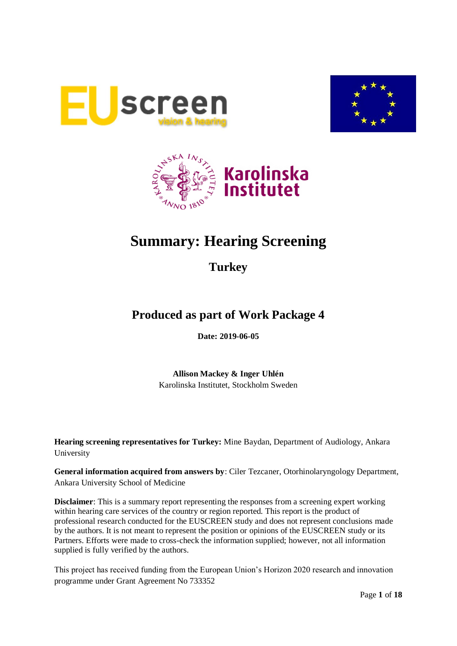





# **Summary: Hearing Screening**

**Turkey**

# **Produced as part of Work Package 4**

**Date: 2019-06-05**

**Allison Mackey & Inger Uhlén** Karolinska Institutet, Stockholm Sweden

**Hearing screening representatives for Turkey:** Mine Baydan, Department of Audiology, Ankara University

**General information acquired from answers by**: Ciler Tezcaner, Otorhinolaryngology Department, Ankara University School of Medicine

**Disclaimer**: This is a summary report representing the responses from a screening expert working within hearing care services of the country or region reported. This report is the product of professional research conducted for the EUSCREEN study and does not represent conclusions made by the authors. It is not meant to represent the position or opinions of the EUSCREEN study or its Partners. Efforts were made to cross-check the information supplied; however, not all information supplied is fully verified by the authors.

This project has received funding from the European Union's Horizon 2020 research and innovation programme under Grant Agreement No 733352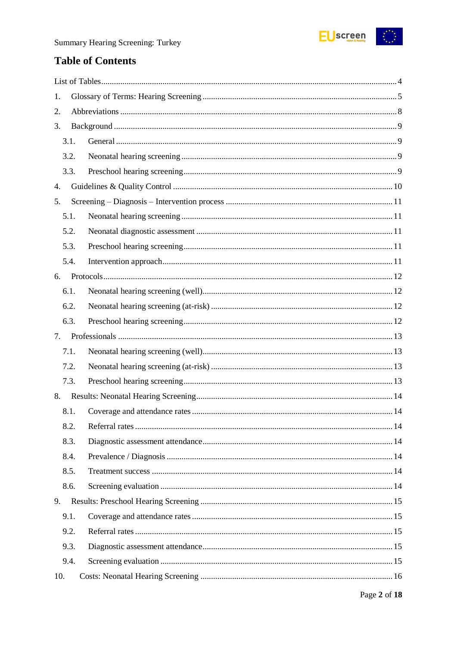

# **Table of Contents**

| 1.   |  |
|------|--|
| 2.   |  |
| 3.   |  |
| 3.1. |  |
| 3.2. |  |
| 3.3. |  |
| 4.   |  |
| 5.   |  |
| 5.1. |  |
| 5.2. |  |
| 5.3. |  |
| 5.4. |  |
| 6.   |  |
| 6.1. |  |
| 6.2. |  |
| 6.3. |  |
| 7.   |  |
| 7.1. |  |
| 7.2. |  |
| 7.3. |  |
| 8.   |  |
| 8.1. |  |
| 8.2. |  |
| 8.3. |  |
| 8.4. |  |
| 8.5. |  |
| 8.6. |  |
| 9.   |  |
| 9.1. |  |
| 9.2. |  |
| 9.3. |  |
| 9.4. |  |
| 10.  |  |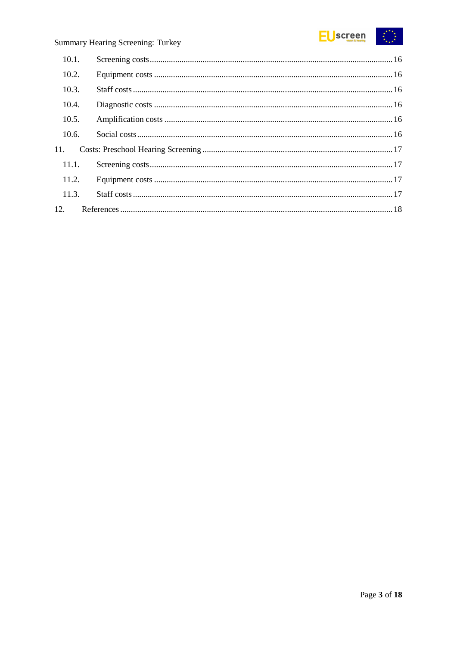

| 10.1. |  |
|-------|--|
| 10.2. |  |
| 10.3. |  |
| 10.4. |  |
| 10.5. |  |
| 10.6. |  |
| 11.   |  |
| 11.1. |  |
| 11.2. |  |
| 11.3. |  |
| 12.   |  |
|       |  |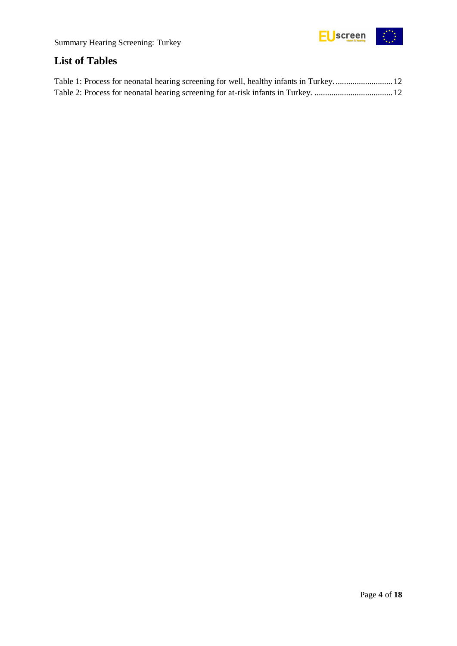

# <span id="page-3-0"></span>**List of Tables**

| Table 1: Process for neonatal hearing screening for well, healthy infants in Turkey 12 |  |
|----------------------------------------------------------------------------------------|--|
|                                                                                        |  |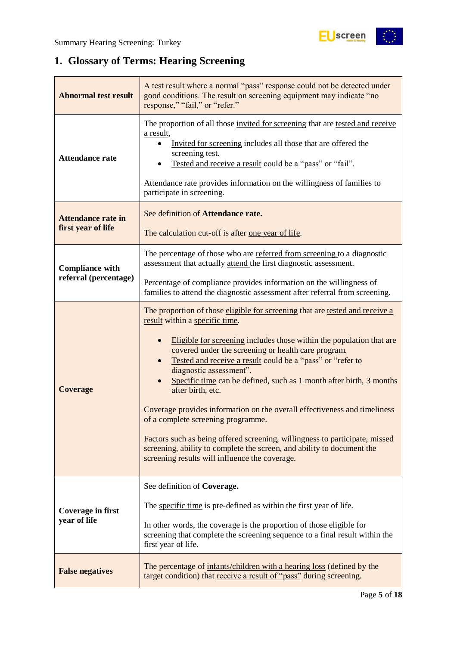$\begin{array}{c} \star \\ \star \\ \star \end{array} \qquad \begin{array}{c} \star \\ \star \\ \star \end{array}$ 

# <span id="page-4-0"></span>**1. Glossary of Terms: Hearing Screening**

| <b>Abnormal test result</b>                     | A test result where a normal "pass" response could not be detected under<br>good conditions. The result on screening equipment may indicate "no<br>response," "fail," or "refer."                                                                                                                                                                                                                                                                                                                                                                                                                                                                                                                                                                                |
|-------------------------------------------------|------------------------------------------------------------------------------------------------------------------------------------------------------------------------------------------------------------------------------------------------------------------------------------------------------------------------------------------------------------------------------------------------------------------------------------------------------------------------------------------------------------------------------------------------------------------------------------------------------------------------------------------------------------------------------------------------------------------------------------------------------------------|
| <b>Attendance rate</b>                          | The proportion of all those invited for screening that are tested and receive<br>a result,<br>Invited for screening includes all those that are offered the<br>screening test.<br>Tested and receive a result could be a "pass" or "fail".<br>Attendance rate provides information on the willingness of families to<br>participate in screening.                                                                                                                                                                                                                                                                                                                                                                                                                |
| <b>Attendance rate in</b><br>first year of life | See definition of Attendance rate.<br>The calculation cut-off is after one year of life.                                                                                                                                                                                                                                                                                                                                                                                                                                                                                                                                                                                                                                                                         |
| <b>Compliance with</b><br>referral (percentage) | The percentage of those who are referred from screening to a diagnostic<br>assessment that actually attend the first diagnostic assessment.                                                                                                                                                                                                                                                                                                                                                                                                                                                                                                                                                                                                                      |
|                                                 | Percentage of compliance provides information on the willingness of<br>families to attend the diagnostic assessment after referral from screening.                                                                                                                                                                                                                                                                                                                                                                                                                                                                                                                                                                                                               |
| <b>Coverage</b>                                 | The proportion of those eligible for screening that are tested and receive a<br>result within a specific time.<br>Eligible for screening includes those within the population that are<br>covered under the screening or health care program.<br>Tested and receive a result could be a "pass" or "refer to<br>diagnostic assessment".<br>Specific time can be defined, such as 1 month after birth, 3 months<br>after birth, etc.<br>Coverage provides information on the overall effectiveness and timeliness<br>of a complete screening programme.<br>Factors such as being offered screening, willingness to participate, missed<br>screening, ability to complete the screen, and ability to document the<br>screening results will influence the coverage. |
| Coverage in first<br>year of life               | See definition of Coverage.<br>The specific time is pre-defined as within the first year of life.<br>In other words, the coverage is the proportion of those eligible for<br>screening that complete the screening sequence to a final result within the<br>first year of life.                                                                                                                                                                                                                                                                                                                                                                                                                                                                                  |
| <b>False negatives</b>                          | The percentage of infants/children with a hearing loss (defined by the<br>target condition) that receive a result of "pass" during screening.                                                                                                                                                                                                                                                                                                                                                                                                                                                                                                                                                                                                                    |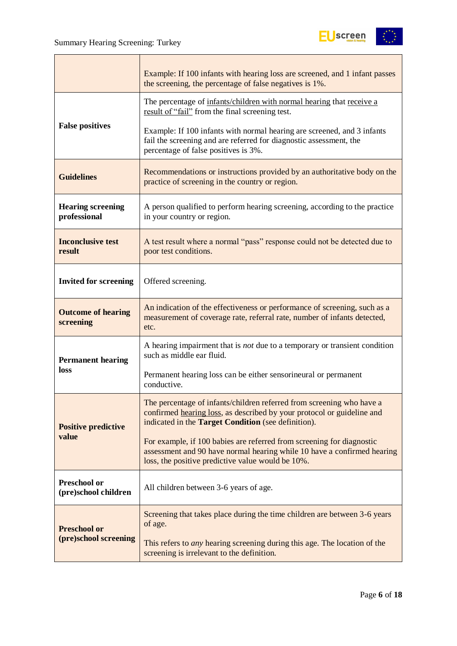

|                                             | Example: If 100 infants with hearing loss are screened, and 1 infant passes<br>the screening, the percentage of false negatives is 1%.                                                                 |  |  |
|---------------------------------------------|--------------------------------------------------------------------------------------------------------------------------------------------------------------------------------------------------------|--|--|
|                                             | The percentage of infants/children with normal hearing that receive a<br>result of "fail" from the final screening test.                                                                               |  |  |
| <b>False positives</b>                      | Example: If 100 infants with normal hearing are screened, and 3 infants<br>fail the screening and are referred for diagnostic assessment, the<br>percentage of false positives is 3%.                  |  |  |
| <b>Guidelines</b>                           | Recommendations or instructions provided by an authoritative body on the<br>practice of screening in the country or region.                                                                            |  |  |
| <b>Hearing screening</b><br>professional    | A person qualified to perform hearing screening, according to the practice<br>in your country or region.                                                                                               |  |  |
| <b>Inconclusive test</b><br>result          | A test result where a normal "pass" response could not be detected due to<br>poor test conditions.                                                                                                     |  |  |
| <b>Invited for screening</b>                | Offered screening.                                                                                                                                                                                     |  |  |
| <b>Outcome of hearing</b><br>screening      | An indication of the effectiveness or performance of screening, such as a<br>measurement of coverage rate, referral rate, number of infants detected,<br>etc.                                          |  |  |
| <b>Permanent hearing</b>                    | A hearing impairment that is <i>not</i> due to a temporary or transient condition<br>such as middle ear fluid.                                                                                         |  |  |
| loss                                        | Permanent hearing loss can be either sensorineural or permanent<br>conductive.                                                                                                                         |  |  |
| <b>Positive predictive</b>                  | The percentage of infants/children referred from screening who have a<br>confirmed hearing loss, as described by your protocol or guideline and<br>indicated in the Target Condition (see definition). |  |  |
| value                                       | For example, if 100 babies are referred from screening for diagnostic<br>assessment and 90 have normal hearing while 10 have a confirmed hearing<br>loss, the positive predictive value would be 10%.  |  |  |
| <b>Preschool or</b><br>(pre)school children | All children between 3-6 years of age.                                                                                                                                                                 |  |  |
| <b>Preschool or</b>                         | Screening that takes place during the time children are between 3-6 years<br>of age.                                                                                                                   |  |  |
| (pre)school screening                       | This refers to <i>any</i> hearing screening during this age. The location of the<br>screening is irrelevant to the definition.                                                                         |  |  |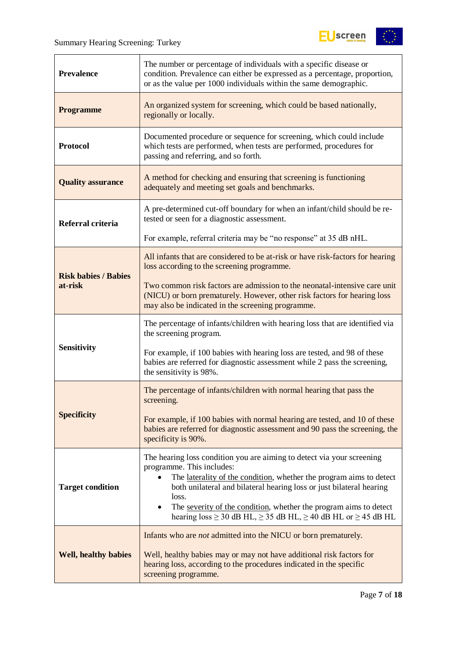$\overline{a}$ 



| <b>Prevalence</b>           | The number or percentage of individuals with a specific disease or<br>condition. Prevalence can either be expressed as a percentage, proportion,<br>or as the value per 1000 individuals within the same demographic.                                                                                                                                                                                                                       |
|-----------------------------|---------------------------------------------------------------------------------------------------------------------------------------------------------------------------------------------------------------------------------------------------------------------------------------------------------------------------------------------------------------------------------------------------------------------------------------------|
| <b>Programme</b>            | An organized system for screening, which could be based nationally,<br>regionally or locally.                                                                                                                                                                                                                                                                                                                                               |
| <b>Protocol</b>             | Documented procedure or sequence for screening, which could include<br>which tests are performed, when tests are performed, procedures for<br>passing and referring, and so forth.                                                                                                                                                                                                                                                          |
| <b>Quality assurance</b>    | A method for checking and ensuring that screening is functioning<br>adequately and meeting set goals and benchmarks.                                                                                                                                                                                                                                                                                                                        |
| Referral criteria           | A pre-determined cut-off boundary for when an infant/child should be re-<br>tested or seen for a diagnostic assessment.                                                                                                                                                                                                                                                                                                                     |
|                             | For example, referral criteria may be "no response" at 35 dB nHL.                                                                                                                                                                                                                                                                                                                                                                           |
| <b>Risk babies / Babies</b> | All infants that are considered to be at-risk or have risk-factors for hearing<br>loss according to the screening programme.                                                                                                                                                                                                                                                                                                                |
| at-risk                     | Two common risk factors are admission to the neonatal-intensive care unit<br>(NICU) or born prematurely. However, other risk factors for hearing loss<br>may also be indicated in the screening programme.                                                                                                                                                                                                                                  |
|                             | The percentage of infants/children with hearing loss that are identified via<br>the screening program.                                                                                                                                                                                                                                                                                                                                      |
| <b>Sensitivity</b>          | For example, if 100 babies with hearing loss are tested, and 98 of these<br>babies are referred for diagnostic assessment while 2 pass the screening,<br>the sensitivity is 98%.                                                                                                                                                                                                                                                            |
|                             | The percentage of infants/children with normal hearing that pass the<br>screening.                                                                                                                                                                                                                                                                                                                                                          |
| <b>Specificity</b>          | For example, if 100 babies with normal hearing are tested, and 10 of these<br>babies are referred for diagnostic assessment and 90 pass the screening, the<br>specificity is 90%.                                                                                                                                                                                                                                                           |
| <b>Target condition</b>     | The hearing loss condition you are aiming to detect via your screening<br>programme. This includes:<br>The laterality of the condition, whether the program aims to detect<br>$\bullet$<br>both unilateral and bilateral hearing loss or just bilateral hearing<br>loss.<br>The severity of the condition, whether the program aims to detect<br>$\bullet$<br>hearing $loss \ge 30$ dB HL, $\ge 35$ dB HL, $\ge 40$ dB HL or $\ge 45$ dB HL |
| <b>Well, healthy babies</b> | Infants who are <i>not</i> admitted into the NICU or born prematurely.<br>Well, healthy babies may or may not have additional risk factors for<br>hearing loss, according to the procedures indicated in the specific<br>screening programme.                                                                                                                                                                                               |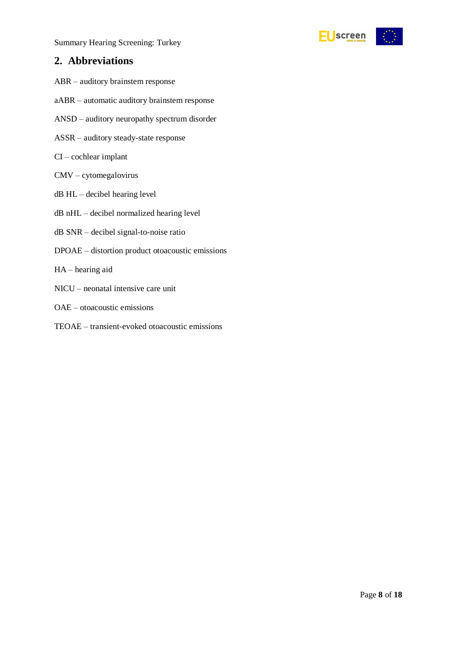



### <span id="page-7-0"></span>**2. Abbreviations**

- ABR auditory brainstem response
- aABR automatic auditory brainstem response
- ANSD auditory neuropathy spectrum disorder
- ASSR auditory steady-state response
- CI cochlear implant
- CMV cytomegalovirus
- dB HL decibel hearing level
- dB nHL decibel normalized hearing level
- dB SNR decibel signal-to-noise ratio
- DPOAE distortion product otoacoustic emissions
- HA hearing aid
- NICU neonatal intensive care unit
- OAE otoacoustic emissions
- TEOAE transient-evoked otoacoustic emissions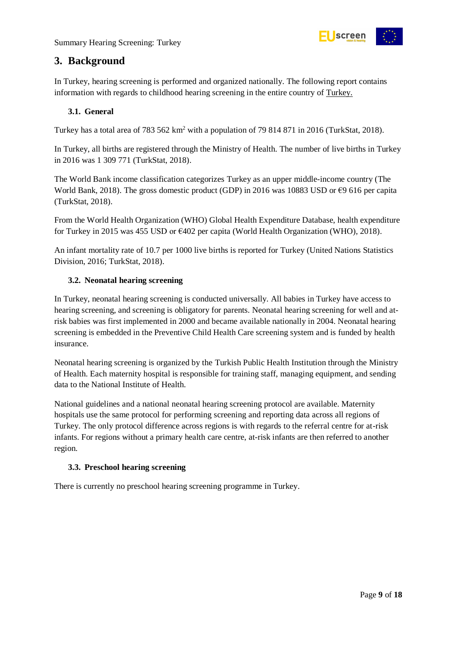

# <span id="page-8-0"></span>**3. Background**

In Turkey, hearing screening is performed and organized nationally. The following report contains information with regards to childhood hearing screening in the entire country of Turkey.

#### <span id="page-8-1"></span>**3.1. General**

Turkey has a total area of 783 562 km<sup>2</sup> with a population of 79 814 871 in 2016 (TurkStat, 2018).

In Turkey, all births are registered through the Ministry of Health. The number of live births in Turkey in 2016 was 1 309 771 (TurkStat, 2018).

The World Bank income classification categorizes Turkey as an upper middle-income country (The World Bank, 2018). The gross domestic product (GDP) in 2016 was 10883 USD or €9 616 per capita (TurkStat, 2018).

From the World Health Organization (WHO) Global Health Expenditure Database, health expenditure for Turkey in 2015 was 455 USD or €402 per capita (World Health Organization (WHO), 2018).

An infant mortality rate of 10.7 per 1000 live births is reported for Turkey (United Nations Statistics Division, 2016; TurkStat, 2018).

#### <span id="page-8-2"></span>**3.2. Neonatal hearing screening**

In Turkey, neonatal hearing screening is conducted universally. All babies in Turkey have access to hearing screening, and screening is obligatory for parents. Neonatal hearing screening for well and atrisk babies was first implemented in 2000 and became available nationally in 2004. Neonatal hearing screening is embedded in the Preventive Child Health Care screening system and is funded by health insurance.

Neonatal hearing screening is organized by the Turkish Public Health Institution through the Ministry of Health. Each maternity hospital is responsible for training staff, managing equipment, and sending data to the National Institute of Health.

National guidelines and a national neonatal hearing screening protocol are available. Maternity hospitals use the same protocol for performing screening and reporting data across all regions of Turkey. The only protocol difference across regions is with regards to the referral centre for at-risk infants. For regions without a primary health care centre, at-risk infants are then referred to another region.

#### <span id="page-8-3"></span>**3.3. Preschool hearing screening**

There is currently no preschool hearing screening programme in Turkey.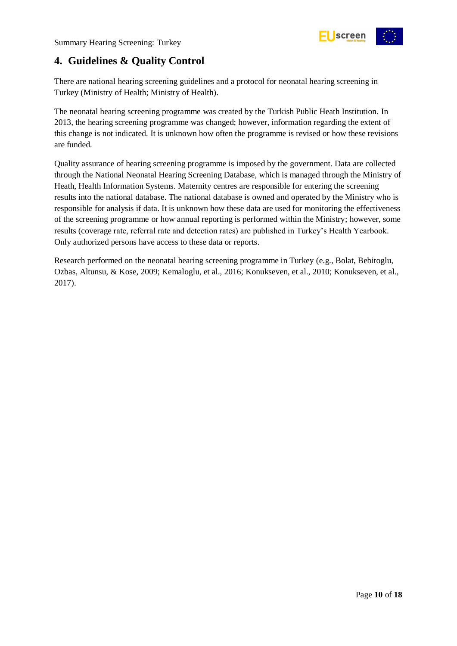

# <span id="page-9-0"></span>**4. Guidelines & Quality Control**

There are national hearing screening guidelines and a protocol for neonatal hearing screening in Turkey (Ministry of Health; Ministry of Health).

The neonatal hearing screening programme was created by the Turkish Public Heath Institution. In 2013, the hearing screening programme was changed; however, information regarding the extent of this change is not indicated. It is unknown how often the programme is revised or how these revisions are funded.

Quality assurance of hearing screening programme is imposed by the government. Data are collected through the National Neonatal Hearing Screening Database, which is managed through the Ministry of Heath, Health Information Systems. Maternity centres are responsible for entering the screening results into the national database. The national database is owned and operated by the Ministry who is responsible for analysis if data. It is unknown how these data are used for monitoring the effectiveness of the screening programme or how annual reporting is performed within the Ministry; however, some results (coverage rate, referral rate and detection rates) are published in Turkey's Health Yearbook. Only authorized persons have access to these data or reports.

Research performed on the neonatal hearing screening programme in Turkey (e.g., Bolat, Bebitoglu, Ozbas, Altunsu, & Kose, 2009; Kemaloglu, et al., 2016; Konukseven, et al., 2010; Konukseven, et al., 2017).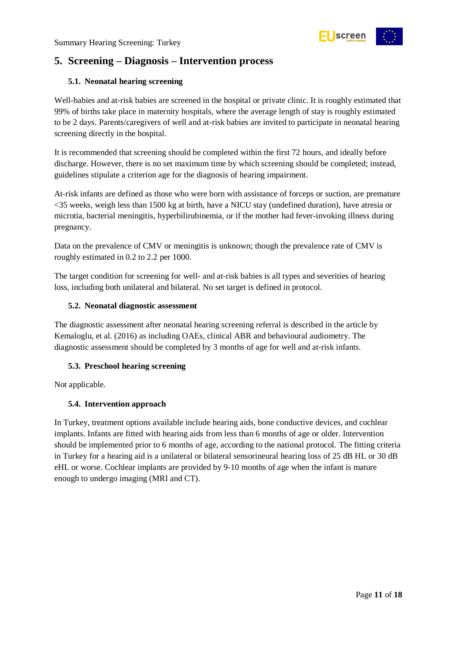

# <span id="page-10-0"></span>**5. Screening – Diagnosis – Intervention process**

#### <span id="page-10-1"></span>**5.1. Neonatal hearing screening**

Well-babies and at-risk babies are screened in the hospital or private clinic. It is roughly estimated that 99% of births take place in maternity hospitals, where the average length of stay is roughly estimated to be 2 days. Parents/caregivers of well and at-risk babies are invited to participate in neonatal hearing screening directly in the hospital.

It is recommended that screening should be completed within the first 72 hours, and ideally before discharge. However, there is no set maximum time by which screening should be completed; instead, guidelines stipulate a criterion age for the diagnosis of hearing impairment.

At-risk infants are defined as those who were born with assistance of forceps or suction, are premature <35 weeks, weigh less than 1500 kg at birth, have a NICU stay (undefined duration), have atresia or microtia, bacterial meningitis, hyperbilirubinemia, or if the mother had fever-invoking illness during pregnancy.

Data on the prevalence of CMV or meningitis is unknown; though the prevalence rate of CMV is roughly estimated in 0.2 to 2.2 per 1000.

The target condition for screening for well- and at-risk babies is all types and severities of hearing loss, including both unilateral and bilateral. No set target is defined in protocol.

#### <span id="page-10-2"></span>**5.2. Neonatal diagnostic assessment**

The diagnostic assessment after neonatal hearing screening referral is described in the article by Kemaloglu, et al. (2016) as including OAEs, clinical ABR and behavioural audiometry. The diagnostic assessment should be completed by 3 months of age for well and at-risk infants.

#### <span id="page-10-3"></span>**5.3. Preschool hearing screening**

Not applicable.

#### <span id="page-10-4"></span>**5.4. Intervention approach**

In Turkey, treatment options available include hearing aids, bone conductive devices, and cochlear implants. Infants are fitted with hearing aids from less than 6 months of age or older. Intervention should be implemented prior to 6 months of age, according to the national protocol. The fitting criteria in Turkey for a hearing aid is a unilateral or bilateral sensorineural hearing loss of 25 dB HL or 30 dB eHL or worse. Cochlear implants are provided by 9-10 months of age when the infant is mature enough to undergo imaging (MRI and CT).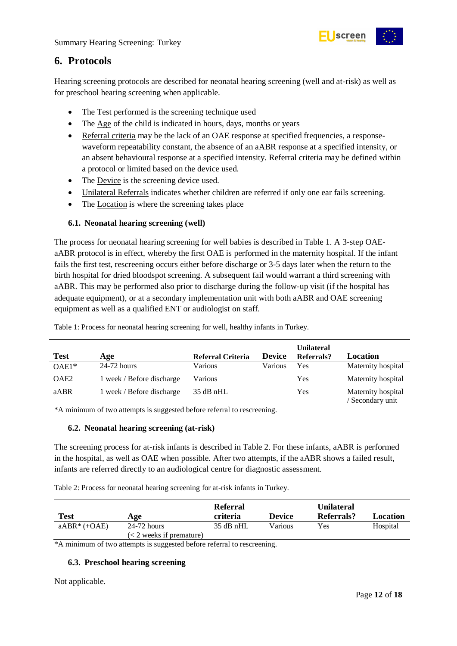

# <span id="page-11-0"></span>**6. Protocols**

Hearing screening protocols are described for neonatal hearing screening (well and at-risk) as well as for preschool hearing screening when applicable.

- The Test performed is the screening technique used
- The Age of the child is indicated in hours, days, months or years
- Referral criteria may be the lack of an OAE response at specified frequencies, a responsewaveform repeatability constant, the absence of an aABR response at a specified intensity, or an absent behavioural response at a specified intensity. Referral criteria may be defined within a protocol or limited based on the device used.
- The Device is the screening device used.
- Unilateral Referrals indicates whether children are referred if only one ear fails screening.
- The Location is where the screening takes place

#### <span id="page-11-1"></span>**6.1. Neonatal hearing screening (well)**

The process for neonatal hearing screening for well babies is described in Table 1. A 3-step OAEaABR protocol is in effect, whereby the first OAE is performed in the maternity hospital. If the infant fails the first test, rescreening occurs either before discharge or 3-5 days later when the return to the birth hospital for dried bloodspot screening. A subsequent fail would warrant a third screening with aABR. This may be performed also prior to discharge during the follow-up visit (if the hospital has adequate equipment), or at a secondary implementation unit with both aABR and OAE screening equipment as well as a qualified ENT or audiologist on staff.

<span id="page-11-4"></span>Table 1: Process for neonatal hearing screening for well, healthy infants in Turkey.

| <b>Test</b>      | Age                       | Referral Criteria | <b>Device</b> | <b>Unilateral</b><br>Referrals? | Location                               |
|------------------|---------------------------|-------------------|---------------|---------------------------------|----------------------------------------|
| $OAE1*$          | $24-72$ hours             | Various           | Various       | Yes                             | Maternity hospital                     |
| OAE <sub>2</sub> | 1 week / Before discharge | Various           |               | Yes                             | Maternity hospital                     |
| aABR             | 1 week / Before discharge | 35 dB nHL         |               | Yes                             | Maternity hospital<br>/ Secondary unit |

\*A minimum of two attempts is suggested before referral to rescreening.

#### <span id="page-11-2"></span>**6.2. Neonatal hearing screening (at-risk)**

The screening process for at-risk infants is described in Table 2. For these infants, aABR is performed in the hospital, as well as OAE when possible. After two attempts, if the aABR shows a failed result, infants are referred directly to an audiological centre for diagnostic assessment.

<span id="page-11-5"></span>Table 2: Process for neonatal hearing screening for at-risk infants in Turkey.

| <b>Test</b><br>Age |                                           | Referral<br>criteria<br><b>Device</b> |         | Unilateral<br>Referrals?<br>Location |          |
|--------------------|-------------------------------------------|---------------------------------------|---------|--------------------------------------|----------|
| $aABR^* (+OAE)$    | 24-72 hours<br>$(< 2$ weeks if premature) | $35$ dB nHL                           | Various | Yes                                  | Hospital |

\*A minimum of two attempts is suggested before referral to rescreening.

#### <span id="page-11-3"></span>**6.3. Preschool hearing screening**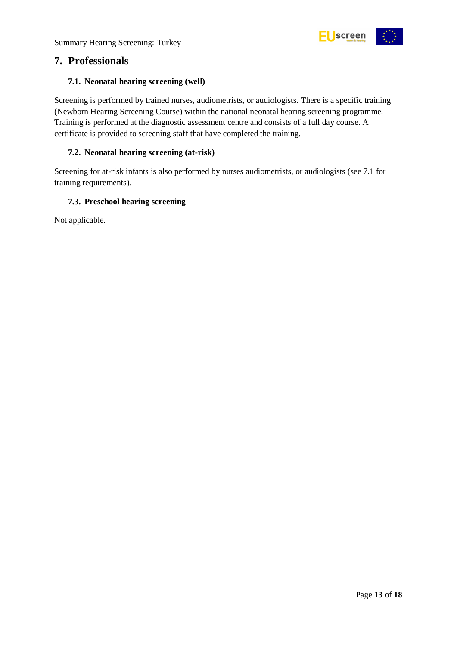

### <span id="page-12-0"></span>**7. Professionals**

#### <span id="page-12-1"></span>**7.1. Neonatal hearing screening (well)**

Screening is performed by trained nurses, audiometrists, or audiologists. There is a specific training (Newborn Hearing Screening Course) within the national neonatal hearing screening programme. Training is performed at the diagnostic assessment centre and consists of a full day course. A certificate is provided to screening staff that have completed the training.

#### <span id="page-12-2"></span>**7.2. Neonatal hearing screening (at-risk)**

Screening for at-risk infants is also performed by nurses audiometrists, or audiologists (see 7.1 for training requirements).

#### <span id="page-12-3"></span>**7.3. Preschool hearing screening**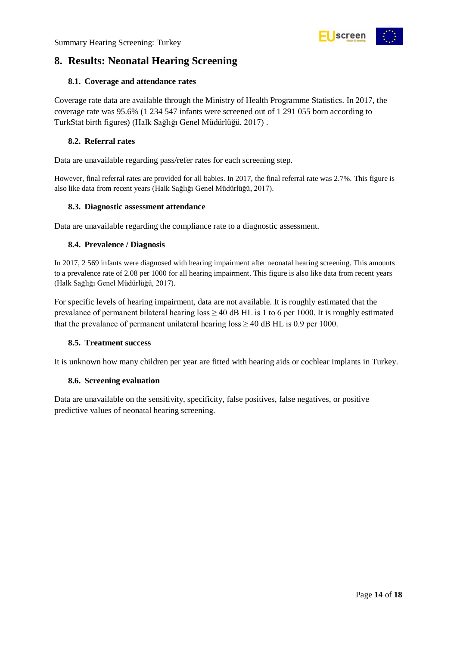

# <span id="page-13-0"></span>**8. Results: Neonatal Hearing Screening**

#### <span id="page-13-1"></span>**8.1. Coverage and attendance rates**

Coverage rate data are available through the Ministry of Health Programme Statistics. In 2017, the coverage rate was 95.6% (1 234 547 infants were screened out of 1 291 055 born according to TurkStat birth figures) (Halk Sağlığı Genel Müdürlüğü, 2017) .

#### <span id="page-13-2"></span>**8.2. Referral rates**

Data are unavailable regarding pass/refer rates for each screening step.

However, final referral rates are provided for all babies. In 2017, the final referral rate was 2.7%. This figure is also like data from recent years (Halk Sağlığı Genel Müdürlüğü, 2017).

#### <span id="page-13-3"></span>**8.3. Diagnostic assessment attendance**

Data are unavailable regarding the compliance rate to a diagnostic assessment.

#### <span id="page-13-4"></span>**8.4. Prevalence / Diagnosis**

In 2017, 2 569 infants were diagnosed with hearing impairment after neonatal hearing screening. This amounts to a prevalence rate of 2.08 per 1000 for all hearing impairment. This figure is also like data from recent years (Halk Sağlığı Genel Müdürlüğü, 2017).

For specific levels of hearing impairment, data are not available. It is roughly estimated that the prevalance of permanent bilateral hearing loss  $\geq$  40 dB HL is 1 to 6 per 1000. It is roughly estimated that the prevalance of permanent unilateral hearing loss  $\geq 40$  dB HL is 0.9 per 1000.

#### <span id="page-13-5"></span>**8.5. Treatment success**

It is unknown how many children per year are fitted with hearing aids or cochlear implants in Turkey.

#### <span id="page-13-6"></span>**8.6. Screening evaluation**

Data are unavailable on the sensitivity, specificity, false positives, false negatives, or positive predictive values of neonatal hearing screening.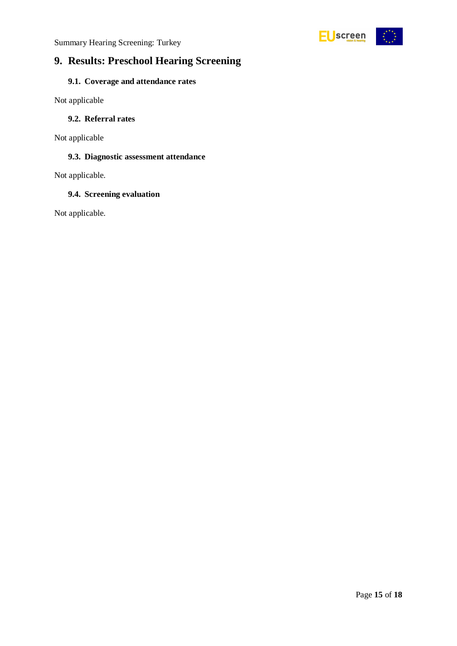

# <span id="page-14-0"></span>**9. Results: Preschool Hearing Screening**

### <span id="page-14-1"></span>**9.1. Coverage and attendance rates**

Not applicable

#### <span id="page-14-2"></span>**9.2. Referral rates**

Not applicable

#### <span id="page-14-3"></span>**9.3. Diagnostic assessment attendance**

Not applicable.

#### <span id="page-14-4"></span>**9.4. Screening evaluation**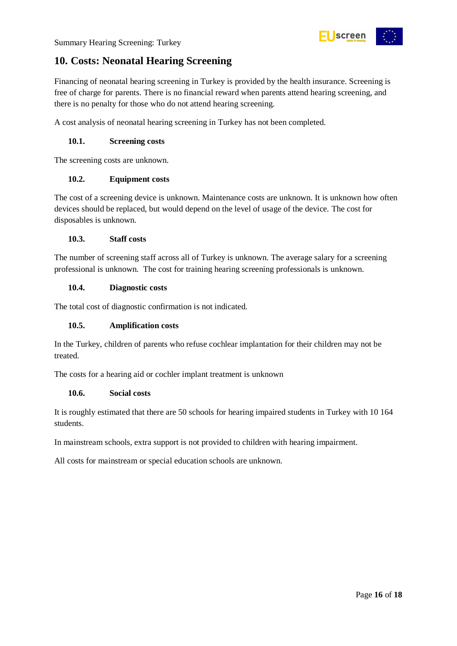

# <span id="page-15-0"></span>**10. Costs: Neonatal Hearing Screening**

Financing of neonatal hearing screening in Turkey is provided by the health insurance. Screening is free of charge for parents. There is no financial reward when parents attend hearing screening, and there is no penalty for those who do not attend hearing screening.

A cost analysis of neonatal hearing screening in Turkey has not been completed.

#### <span id="page-15-1"></span>**10.1. Screening costs**

The screening costs are unknown.

#### <span id="page-15-2"></span>**10.2. Equipment costs**

The cost of a screening device is unknown. Maintenance costs are unknown. It is unknown how often devices should be replaced, but would depend on the level of usage of the device. The cost for disposables is unknown.

#### <span id="page-15-3"></span>**10.3. Staff costs**

The number of screening staff across all of Turkey is unknown. The average salary for a screening professional is unknown. The cost for training hearing screening professionals is unknown.

#### <span id="page-15-4"></span>**10.4. Diagnostic costs**

The total cost of diagnostic confirmation is not indicated.

#### <span id="page-15-5"></span>**10.5. Amplification costs**

In the Turkey, children of parents who refuse cochlear implantation for their children may not be treated.

The costs for a hearing aid or cochler implant treatment is unknown

#### <span id="page-15-6"></span>**10.6. Social costs**

It is roughly estimated that there are 50 schools for hearing impaired students in Turkey with 10 164 students.

In mainstream schools, extra support is not provided to children with hearing impairment.

All costs for mainstream or special education schools are unknown.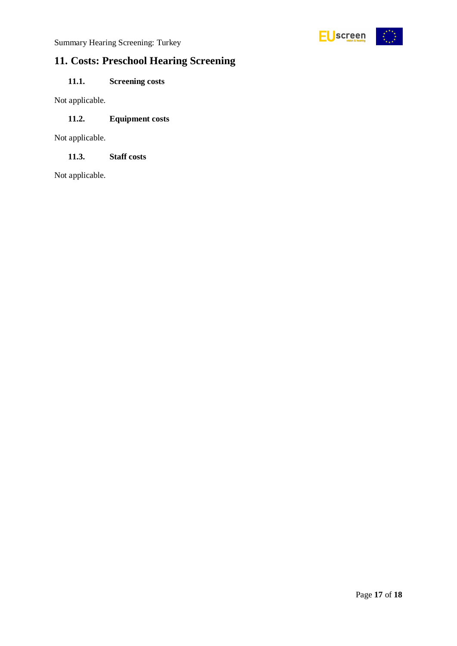

# <span id="page-16-0"></span>**11. Costs: Preschool Hearing Screening**

### <span id="page-16-1"></span>**11.1. Screening costs**

Not applicable.

#### <span id="page-16-2"></span>**11.2. Equipment costs**

Not applicable.

<span id="page-16-3"></span>**11.3. Staff costs**